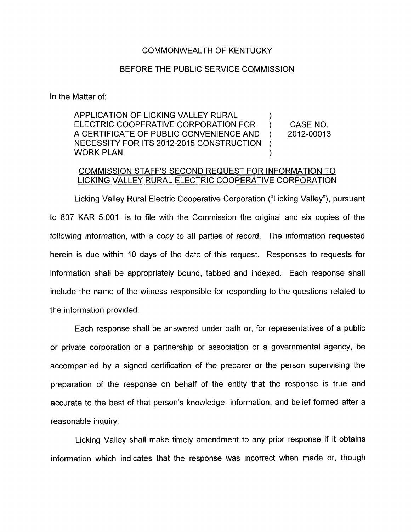## COMMONWEALTH OF KENTUCKY

## BEFORE THE PUBLIC SERVICE COMMISSION

In the Matter of:

APPLICATION OF LICKING VALLEY RURAL ELECTRIC COOPERATIVE CORPORATION FOR ) CASE NO. A CERTIFICATE OF PUBLIC CONVENIENCE AND ) 2012-0001 3 NECESSITY FOR ITS 2012-2015 CONSTRUCTION  $\sum_{i=1}^{n}$ ) WORK PLAN

## COMMISSION STAFF'S SECOND REQUEST FOR INFORMATION TO LICKING VALLEY. RURAL ELECTRIC COOPERATIVE CORPORATION

Licking Valley Rural Electric Cooperative Corporation ("Licking Valley"), pursuant to 807 KAR 5:001, is to file with the Commission the original and six copies of the following information, with *a* copy to all parties of record. The information requested herein is due within 10 days of the date of this request. Responses to requests for information shall be appropriately bound, tabbed and indexed. Each response shall include the name of the witness responsible for responding to the questions related to the information provided.

Each response shall be answered under oath or, for representatives of a public or private corporation or a partnership or association or a governmental agency, be accompanied by a signed certification of the preparer or the person supervising the preparation of the response on behalf of the entity that the response is true and accurate to the best of that person's knowledge, information, and belief formed after a reasonable inquiry.

Licking Valley shall make timely amendment to any prior response if it obtains information which indicates that the response was incorrect when made or, though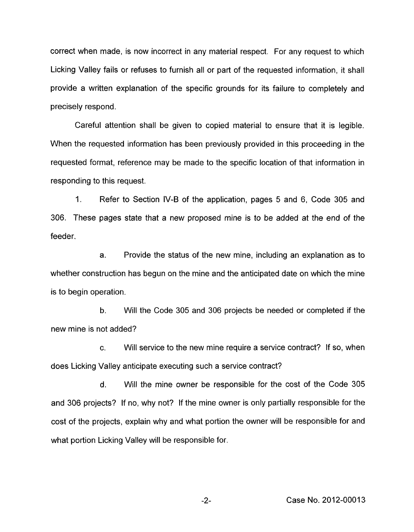correct when made, is now incorrect in any material respect. For any request to which Licking Valley fails or refuses to furnish all or part of the requested information, it shall provide a written explanation of the specific grounds for its failure to completely and precisely respond.

Careful attention shall be given to copied material to ensure that it is legible. When the requested information has been previously provided in this proceeding in the requested format, reference may be made to the specific location of that information in responding to this request.

1. Refer to Section IV-B of the application, pages 5 and 6, Code 305 and 306. These pages state that a new proposed mine is to be added at the end of the feeder.

a. Provide the status of the new mine, including an explanation as to whether construction has begun on the mine and the anticipated date on which the mine is to begin operation.

b. Will the Code 305 and 306 projects be needed or completed if the new mine is not added?

c. Will service to the new mine require a service contract? If so, when does Licking Valley anticipate executing such a service contract?

d. Will the mine owner be responsible for the cost of the Code 305 and 306 projects? if no, why not? If the mine owner is only partially responsible for the cost of the projects, explain why and what portion the owner will be responsible for and what portion Licking Valley will be responsible for.

-2- Case No. 2012-00013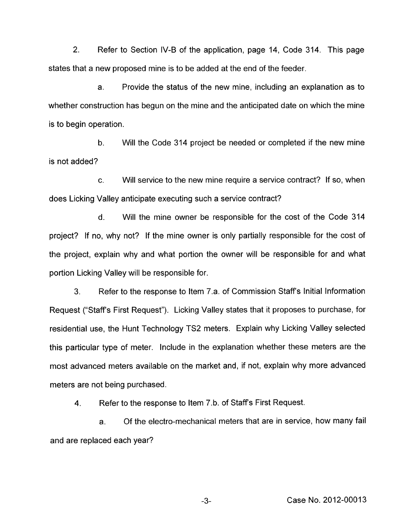2. Refer to Section IV-B of the application, page 14, Code 314. This page states that a new proposed mine is to be added at the end of the feeder.

a. Provide the status of the new mine, including an explanation as to whether construction has begun on the mine and the anticipated date on which the mine is to begin operation.

b. Will the Code 314 project be needed or completed if the new mine is not added?

c. Will service to the new mine require a service contract? If so, when does Licking Valley anticipate executing such a service contract?

d. Will the mine owner be responsible for the cost of the Code 314 project? If no, why not? If the mine owner is only partially responsible for the cost of the project, explain why and what portion the owner will be responsible for and what portion Licking Valley will be responsible for.

3. Refer to the response to Item 7.a. of Commission Staff's Initial Information Request ("Staff's First Request"). Licking Valley states that it proposes to purchase, for residential use, the Hunt Technology TS2 meters. Explain why Licking Valley selected this particular type of meter. Include in the explanation whether these meters are the most advanced meters available on the market and, if not, explain why more advanced meters are not being purchased.

4. Refer to the response to Item 7.b. of Staffs First Request.

a. and are replaced each year? Of the electro-mechanical meters that are in service, how many fail

-3- Case No. 2012-00013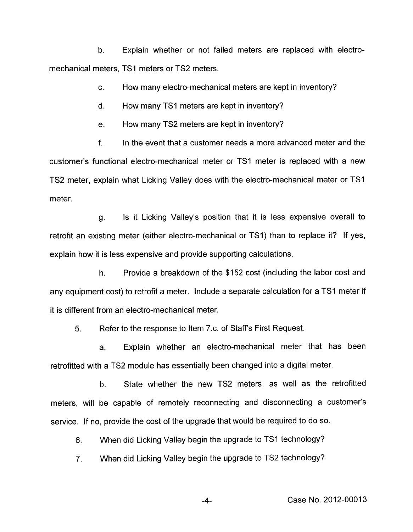b. Explain whether or not failed meters are replaced with electromechanical meters, TSI meters or TS2 meters.

> c. How many electro-mechanical meters are kept in inventory?

d. How many TSI meters are kept in inventory?

e. How many TS2 meters are kept in inventory?

f. In the event that a customer needs a more advanced meter and the customer's functional electro-mechanical meter or TSI meter is replaced with a new TS2 meter, explain what Licking Valley does with the electro-mechanical meter or TSI meter.

g. Is it Licking Valley's position that it is less expensive overall to retrofit an existing meter (either electro-mechanical or TSI) than to replace it? If yes, explain how it is less expensive and provide supporting calculations.

h. Provide a breakdown of the \$152 cost (including the labor cost and any equipment cost) to retrofit a meter. Include a separate calculation for a TSI meter if it is different from an electro-mechanical meter.

5. Refer to the response to Item 7.c. of Staff's First Request.

a. Explain whether an electro-mechanical meter that has been retrofitted with a TS2 module has essentially been changed into a digital meter.

State whether the new TS2 meters, as well as the retrofitted meters, will be capable of remotely reconnecting and disconnecting a customer's service. If no, provide the cost of the upgrade that would be required to do so. b.

6. When did Licking Valley begin the upgrade to TSI technology?

7. When did Licking Valley begin the upgrade to TS2 technology?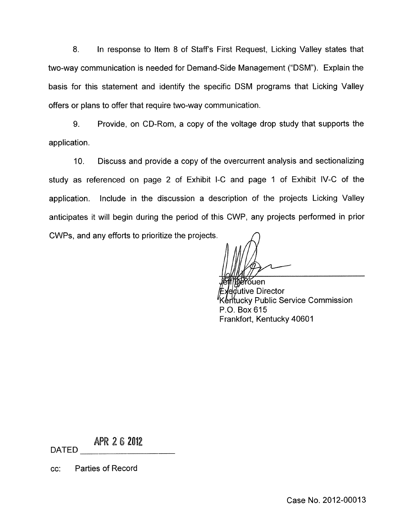8. In response to Item 8 of Staffs First Request, Licking Valley states that two-way communication is needed for Demand-Side Management ("DSM"). Explain the basis for this statement and identify the specific DSM programs that Licking Valley offers or plans to offer that require two-way communication.

9. Provide, on CD-Rom, a copy of the voltage drop study that supports the application.

IO. Discuss and provide a copy of the overcurrent analysis and sectionalizing study as referenced on page 2 of Exhibit I-C and page I of Exhibit IV-C of the application. Include in the discussion a description of the projects Licking Valley anticipates it will begin during the period of this CWP, any projects performed in prior CWPs, and any efforts to prioritize the projects.

'ŏuen *d*utive Director ky Public Service Commission P.O. Box 615 Frankfort, Kentucky 40601

APR 2 6 2012

DATED

cc: Parties of Record